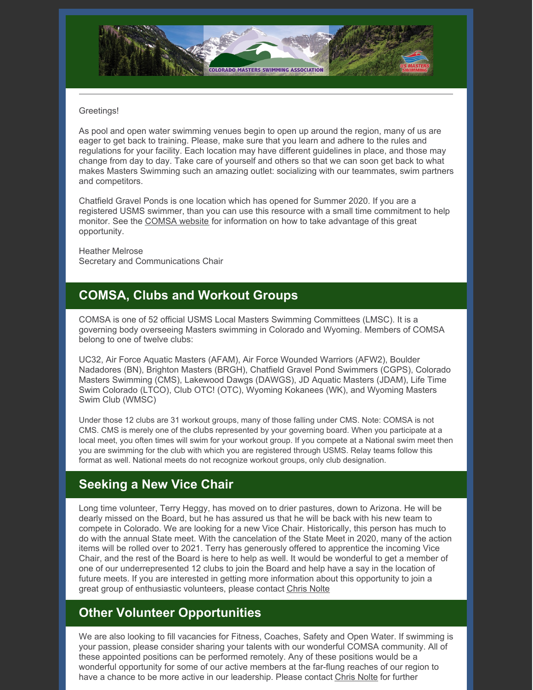

#### Greetings!

As pool and open water swimming venues begin to open up around the region, many of us are eager to get back to training. Please, make sure that you learn and adhere to the rules and regulations for your facility. Each location may have different guidelines in place, and those may change from day to day. Take care of yourself and others so that we can soon get back to what makes Masters Swimming such an amazing outlet: socializing with our teammates, swim partners and competitors.

Chatfield Gravel Ponds is one location which has opened for Summer 2020. If you are a registered USMS swimmer, than you can use this resource with a small time commitment to help monitor. See the [COMSA](https://www.comsa.org/page.cfm?pagetitle=Open+Water) website for information on how to take advantage of this great opportunity.

Heather Melrose Secretary and Communications Chair

#### **COMSA, Clubs and Workout Groups**

COMSA is one of 52 official USMS Local Masters Swimming Committees (LMSC). It is a governing body overseeing Masters swimming in Colorado and Wyoming. Members of COMSA belong to one of twelve clubs:

UC32, Air Force Aquatic Masters (AFAM), Air Force Wounded Warriors (AFW2), Boulder Nadadores (BN), Brighton Masters (BRGH), Chatfield Gravel Pond Swimmers (CGPS), Colorado Masters Swimming (CMS), Lakewood Dawgs (DAWGS), JD Aquatic Masters (JDAM), Life Time Swim Colorado (LTCO), Club OTC! (OTC), Wyoming Kokanees (WK), and Wyoming Masters Swim Club (WMSC)

Under those 12 clubs are 31 workout groups, many of those falling under CMS. Note: COMSA is not CMS. CMS is merely one of the clubs represented by your governing board. When you participate at a local meet, you often times will swim for your workout group. If you compete at a National swim meet then you are swimming for the club with which you are registered through USMS. Relay teams follow this format as well. National meets do not recognize workout groups, only club designation.

## **Seeking a New Vice Chair**

Long time volunteer, Terry Heggy, has moved on to drier pastures, down to Arizona. He will be dearly missed on the Board, but he has assured us that he will be back with his new team to compete in Colorado. We are looking for a new Vice Chair. Historically, this person has much to do with the annual State meet. With the cancelation of the State Meet in 2020, many of the action items will be rolled over to 2021. Terry has generously offered to apprentice the incoming Vice Chair, and the rest of the Board is here to help as well. It would be wonderful to get a member of one of our underrepresented 12 clubs to join the Board and help have a say in the location of future meets. If you are interested in getting more information about this opportunity to join a great group of enthusiastic volunteers, please contact [Chris](mailto:chris_nolte@comcast.net) Nolte

## **Other Volunteer Opportunities**

We are also looking to fill vacancies for Fitness, Coaches, Safety and Open Water. If swimming is your passion, please consider sharing your talents with our wonderful COMSA community. All of these appointed positions can be performed remotely. Any of these positions would be a wonderful opportunity for some of our active members at the far-flung reaches of our region to have a chance to be more active in our leadership. Please contact [Chris](mailto:chris_nolte@comcast.net) Nolte for further